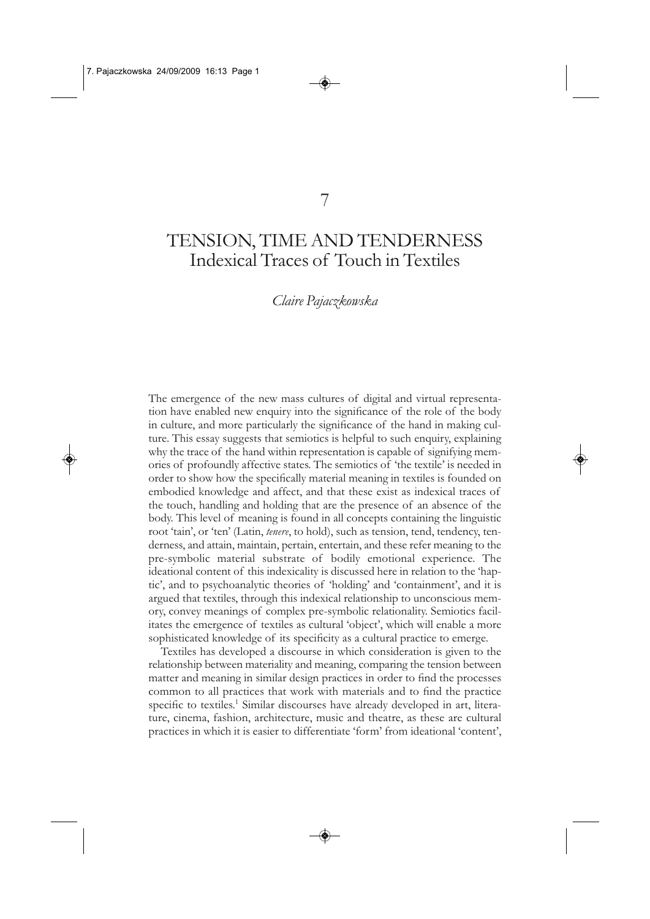7

# TENSION, TIME AND TENDERNESS Indexical Traces of Touch in Textiles

# *Claire Pajaczkowska*

The emergence of the new mass cultures of digital and virtual representation have enabled new enquiry into the significance of the role of the body in culture, and more particularly the significance of the hand in making culture. This essay suggests that semiotics is helpful to such enquiry, explaining why the trace of the hand within representation is capable of signifying memories of profoundly affective states. The semiotics of 'the textile' is needed in order to show how the specifically material meaning in textiles is founded on embodied knowledge and affect, and that these exist as indexical traces of the touch, handling and holding that are the presence of an absence of the body. This level of meaning is found in all concepts containing the linguistic root 'tain', or 'ten' (Latin, *tenere*, to hold), such as tension, tend, tendency, tenderness, and attain, maintain, pertain, entertain, and these refer meaning to the pre-symbolic material substrate of bodily emotional experience. The ideational content of this indexicality is discussed here in relation to the 'haptic', and to psychoanalytic theories of 'holding' and 'containment', and it is argued that textiles, through this indexical relationship to unconscious memory, convey meanings of complex pre-symbolic relationality. Semiotics facilitates the emergence of textiles as cultural 'object', which will enable a more sophisticated knowledge of its specificity as a cultural practice to emerge.

Textiles has developed a discourse in which consideration is given to the relationship between materiality and meaning, comparing the tension between matter and meaning in similar design practices in order to find the processes common to all practices that work with materials and to find the practice specific to textiles.<sup>1</sup> Similar discourses have already developed in art, literature, cinema, fashion, architecture, music and theatre, as these are cultural practices in which it is easier to differentiate 'form' from ideational 'content',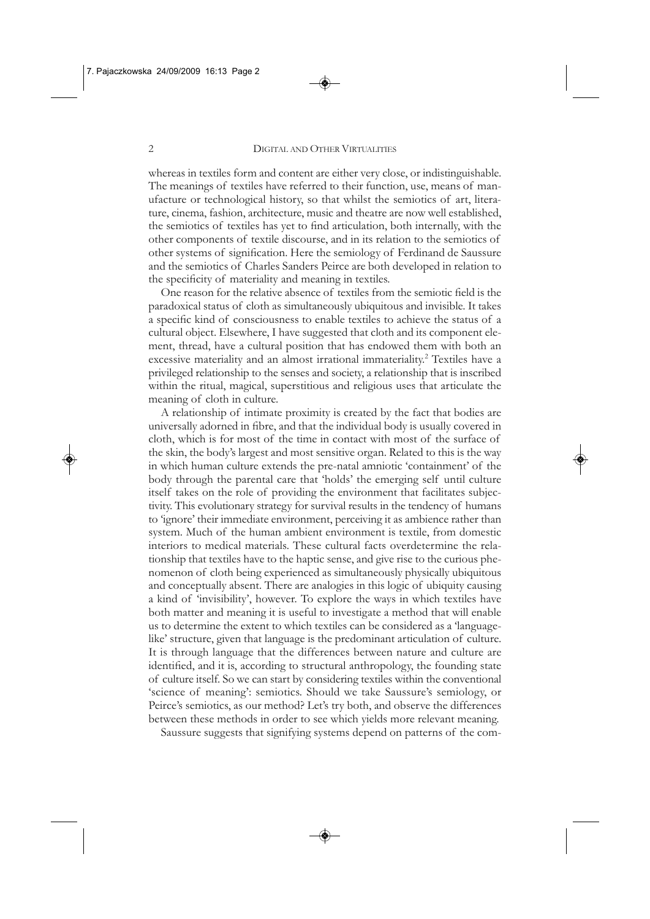whereas in textiles form and content are either very close, or indistinguishable. The meanings of textiles have referred to their function, use, means of manufacture or technological history, so that whilst the semiotics of art, literature, cinema, fashion, architecture, music and theatre are now well established, the semiotics of textiles has yet to find articulation, both internally, with the other components of textile discourse, and in its relation to the semiotics of other systems of signification. Here the semiology of Ferdinand de Saussure and the semiotics of Charles Sanders Peirce are both developed in relation to the specificity of materiality and meaning in textiles.

One reason for the relative absence of textiles from the semiotic field is the paradoxical status of cloth as simultaneously ubiquitous and invisible. It takes a specific kind of consciousness to enable textiles to achieve the status of a cultural object. Elsewhere, I have suggested that cloth and its component element, thread, have a cultural position that has endowed them with both an excessive materiality and an almost irrational immateriality.<sup>2</sup> Textiles have a privileged relationship to the senses and society, a relationship that is inscribed within the ritual, magical, superstitious and religious uses that articulate the meaning of cloth in culture.

A relationship of intimate proximity is created by the fact that bodies are universally adorned in fibre, and that the individual body is usually covered in cloth, which is for most of the time in contact with most of the surface of the skin, the body's largest and most sensitive organ. Related to this is the way in which human culture extends the pre-natal amniotic 'containment' of the body through the parental care that 'holds' the emerging self until culture itself takes on the role of providing the environment that facilitates subjectivity. This evolutionary strategy for survival results in the tendency of humans to 'ignore' their immediate environment, perceiving it as ambience rather than system. Much of the human ambient environment is textile, from domestic interiors to medical materials. These cultural facts overdetermine the relationship that textiles have to the haptic sense, and give rise to the curious phenomenon of cloth being experienced as simultaneously physically ubiquitous and conceptually absent. There are analogies in this logic of ubiquity causing a kind of 'invisibility', however. To explore the ways in which textiles have both matter and meaning it is useful to investigate a method that will enable us to determine the extent to which textiles can be considered as a 'languagelike' structure, given that language is the predominant articulation of culture. It is through language that the differences between nature and culture are identified, and it is, according to structural anthropology, the founding state of culture itself. So we can start by considering textiles within the conventional 'science of meaning': semiotics. Should we take Saussure's semiology, or Peirce's semiotics, as our method? Let's try both, and observe the differences between these methods in order to see which yields more relevant meaning.

Saussure suggests that signifying systems depend on patterns of the com-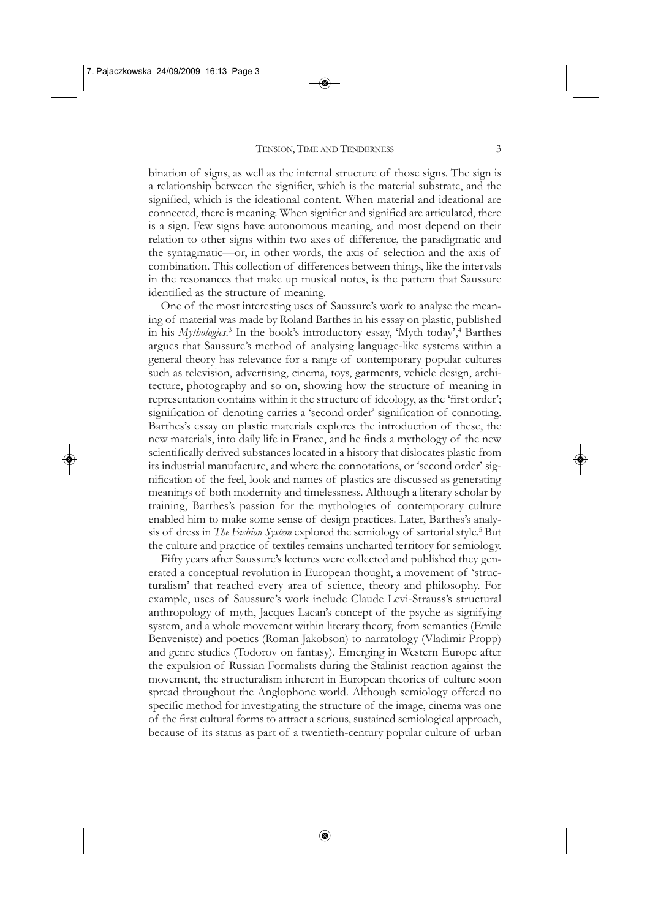bination of signs, as well as the internal structure of those signs. The sign is a relationship between the signifier, which is the material substrate, and the signified, which is the ideational content. When material and ideational are connected, there is meaning. When signifier and signified are articulated, there is a sign. Few signs have autonomous meaning, and most depend on their relation to other signs within two axes of difference, the paradigmatic and the syntagmatic—or, in other words, the axis of selection and the axis of combination. This collection of differences between things, like the intervals in the resonances that make up musical notes, is the pattern that Saussure identified as the structure of meaning.

One of the most interesting uses of Saussure's work to analyse the meaning of material was made by Roland Barthes in his essay on plastic, published in his *Mythologies*.<sup>3</sup> In the book's introductory essay, 'Myth today',<sup>4</sup> Barthes argues that Saussure's method of analysing language-like systems within a general theory has relevance for a range of contemporary popular cultures such as television, advertising, cinema, toys, garments, vehicle design, architecture, photography and so on, showing how the structure of meaning in representation contains within it the structure of ideology, as the 'first order'; signification of denoting carries a 'second order' signification of connoting. Barthes's essay on plastic materials explores the introduction of these, the new materials, into daily life in France, and he finds a mythology of the new scientifically derived substances located in a history that dislocates plastic from its industrial manufacture, and where the connotations, or 'second order' signification of the feel, look and names of plastics are discussed as generating meanings of both modernity and timelessness. Although a literary scholar by training, Barthes's passion for the mythologies of contemporary culture enabled him to make some sense of design practices. Later, Barthes's analysis of dress in *The Fashion System* explored the semiology of sartorial style.5 But the culture and practice of textiles remains uncharted territory for semiology.

Fifty years after Saussure's lectures were collected and published they generated a conceptual revolution in European thought, a movement of 'structuralism' that reached every area of science, theory and philosophy. For example, uses of Saussure's work include Claude Levi-Strauss's structural anthropology of myth, Jacques Lacan's concept of the psyche as signifying system, and a whole movement within literary theory, from semantics (Emile Benveniste) and poetics (Roman Jakobson) to narratology (Vladimir Propp) and genre studies (Todorov on fantasy). Emerging in Western Europe after the expulsion of Russian Formalists during the Stalinist reaction against the movement, the structuralism inherent in European theories of culture soon spread throughout the Anglophone world. Although semiology offered no specific method for investigating the structure of the image, cinema was one of the first cultural forms to attract a serious, sustained semiological approach, because of its status as part of a twentieth-century popular culture of urban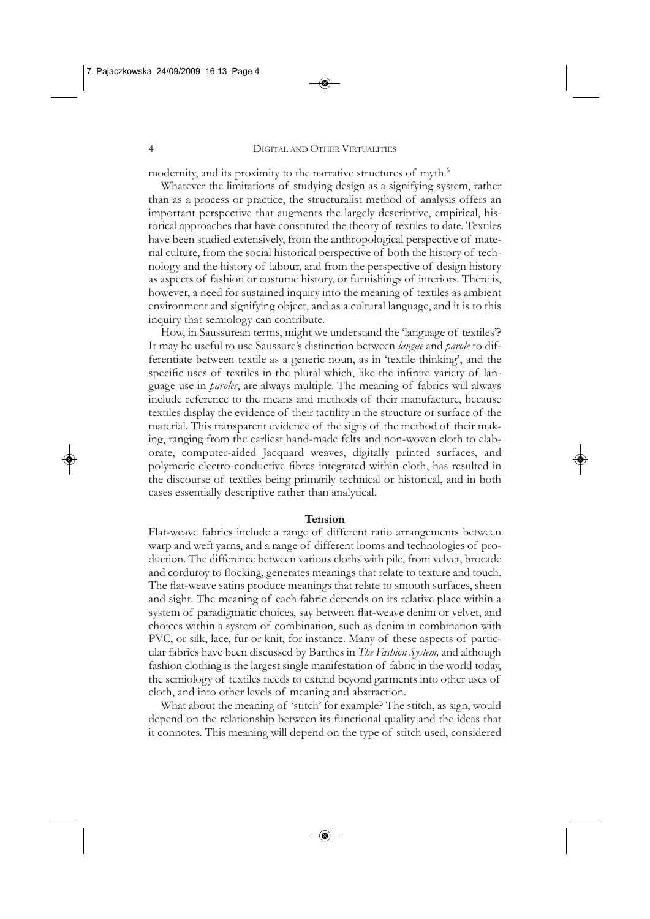modernity, and its proximity to the narrative structures of myth.<sup>6</sup>

Whatever the limitations of studying design as a signifying system, rather than as a process or practice, the structuralist method of analysis offers an important perspective that augments the largely descriptive, empirical, historical approaches that have constituted the theory of textiles to date. Textiles have been studied extensively, from the anthropological perspective of material culture, from the social historical perspective of both the history of technology and the history of labour, and from the perspective of design history as aspects of fashion or costume history, or furnishings of interiors. There is, however, a need for sustained inquiry into the meaning of textiles as ambient environment and signifying object, and as a cultural language, and it is to this inquiry that semiology can contribute.

How, in Saussurean terms, might we understand the 'language of textiles'? It may be useful to use Saussure's distinction between *langue* and *parole* to differentiate between textile as a generic noun, as in 'textile thinking', and the specific uses of textiles in the plural which, like the infinite variety of language use in *paroles*, are always multiple. The meaning of fabrics will always include reference to the means and methods of their manufacture, because textiles display the evidence of their tactility in the structure or surface of the material. This transparent evidence of the signs of the method of their making, ranging from the earliest hand-made felts and non-woven cloth to elaborate, computer-aided Jacquard weaves, digitally printed surfaces, and polymeric electro-conductive fibres integrated within cloth, has resulted in the discourse of textiles being primarily technical or historical, and in both cases essentially descriptive rather than analytical.

# **Tension**

Flat-weave fabrics include a range of different ratio arrangements between warp and weft yarns, and a range of different looms and technologies of production. The difference between various cloths with pile, from velvet, brocade and corduroy to flocking, generates meanings that relate to texture and touch. The flat-weave satins produce meanings that relate to smooth surfaces, sheen and sight. The meaning of each fabric depends on its relative place within a system of paradigmatic choices, say between flat-weave denim or velvet, and choices within a system of combination, such as denim in combination with PVC, or silk, lace, fur or knit, for instance. Many of these aspects of particular fabrics have been discussed by Barthes in *The Fashion System,* and although fashion clothing is the largest single manifestation of fabric in the world today, the semiology of textiles needs to extend beyond garments into other uses of cloth, and into other levels of meaning and abstraction.

What about the meaning of 'stitch' for example? The stitch, as sign, would depend on the relationship between its functional quality and the ideas that it connotes. This meaning will depend on the type of stitch used, considered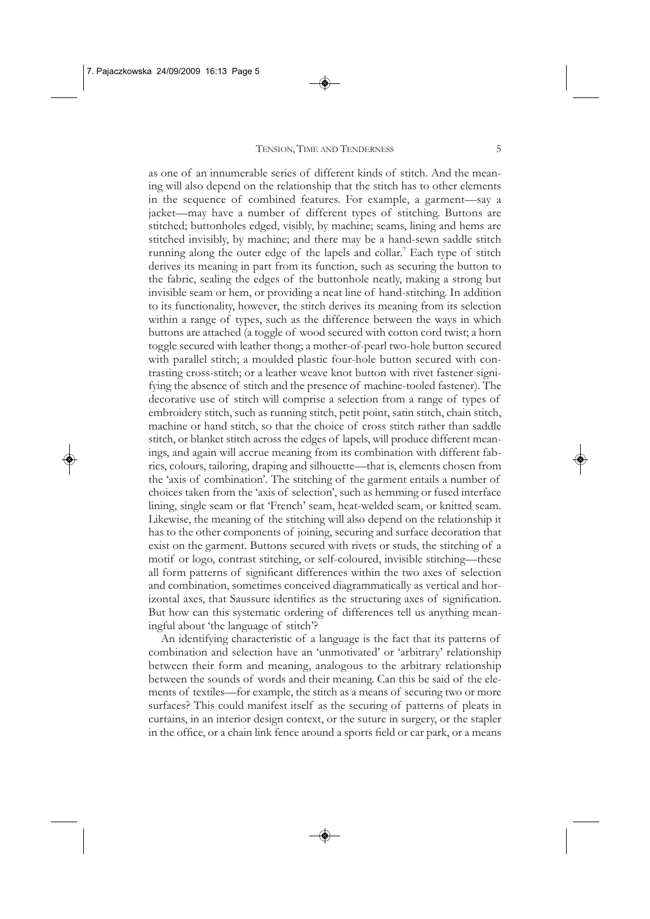as one of an innumerable series of different kinds of stitch. And the meaning will also depend on the relationship that the stitch has to other elements in the sequence of combined features. For example, a garment—say a jacket—may have a number of different types of stitching. Buttons are stitched; buttonholes edged, visibly, by machine; seams, lining and hems are stitched invisibly, by machine; and there may be a hand-sewn saddle stitch running along the outer edge of the lapels and collar.7 Each type of stitch derives its meaning in part from its function, such as securing the button to the fabric, sealing the edges of the buttonhole neatly, making a strong but invisible seam or hem, or providing a neat line of hand-stitching. In addition to its functionality, however, the stitch derives its meaning from its selection within a range of types, such as the difference between the ways in which buttons are attached (a toggle of wood secured with cotton cord twist; a horn toggle secured with leather thong; a mother-of-pearl two-hole button secured with parallel stitch; a moulded plastic four-hole button secured with contrasting cross-stitch; or a leather weave knot button with rivet fastener signifying the absence of stitch and the presence of machine-tooled fastener). The decorative use of stitch will comprise a selection from a range of types of embroidery stitch, such as running stitch, petit point, satin stitch, chain stitch, machine or hand stitch, so that the choice of cross stitch rather than saddle stitch, or blanket stitch across the edges of lapels, will produce different meanings, and again will accrue meaning from its combination with different fabrics, colours, tailoring, draping and silhouette—that is, elements chosen from the 'axis of combination'. The stitching of the garment entails a number of choices taken from the 'axis of selection', such as hemming or fused interface lining, single seam or flat 'French' seam, heat-welded seam, or knitted seam. Likewise, the meaning of the stitching will also depend on the relationship it has to the other components of joining, securing and surface decoration that exist on the garment. Buttons secured with rivets or studs, the stitching of a motif or logo, contrast stitching, or self-coloured, invisible stitching—these all form patterns of significant differences within the two axes of selection and combination, sometimes conceived diagrammatically as vertical and horizontal axes, that Saussure identifies as the structuring axes of signification. But how can this systematic ordering of differences tell us anything meaningful about 'the language of stitch'?

An identifying characteristic of a language is the fact that its patterns of combination and selection have an 'unmotivated' or 'arbitrary' relationship between their form and meaning, analogous to the arbitrary relationship between the sounds of words and their meaning. Can this be said of the elements of textiles—for example, the stitch as a means of securing two or more surfaces? This could manifest itself as the securing of patterns of pleats in curtains, in an interior design context, or the suture in surgery, or the stapler in the office, or a chain link fence around a sports field or car park, or a means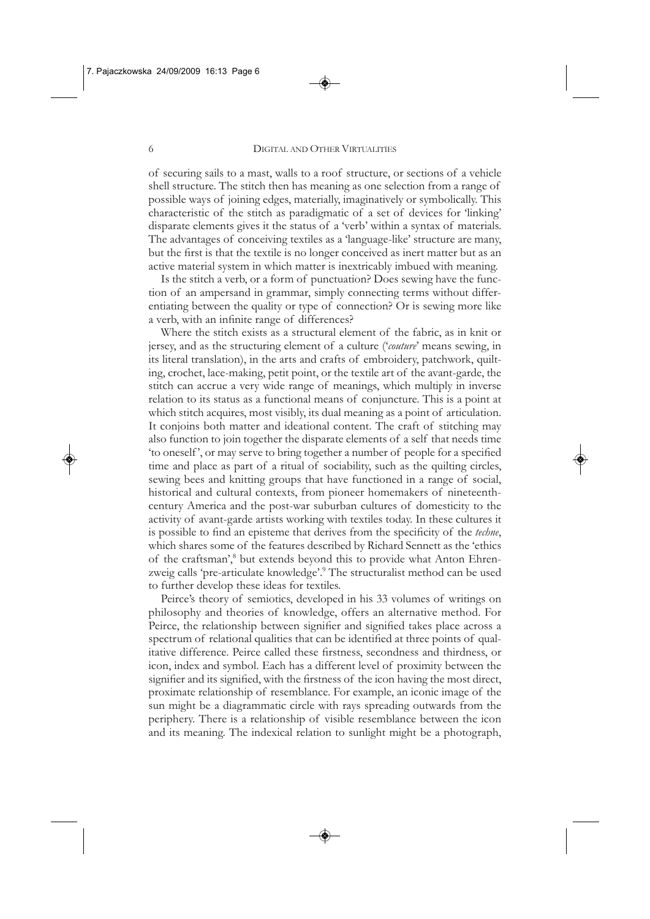of securing sails to a mast, walls to a roof structure, or sections of a vehicle shell structure. The stitch then has meaning as one selection from a range of possible ways of joining edges, materially, imaginatively or symbolically. This characteristic of the stitch as paradigmatic of a set of devices for 'linking' disparate elements gives it the status of a 'verb' within a syntax of materials. The advantages of conceiving textiles as a 'language-like' structure are many, but the first is that the textile is no longer conceived as inert matter but as an active material system in which matter is inextricably imbued with meaning.

Is the stitch a verb, or a form of punctuation? Does sewing have the function of an ampersand in grammar, simply connecting terms without differentiating between the quality or type of connection? Or is sewing more like a verb, with an infinite range of differences?

Where the stitch exists as a structural element of the fabric, as in knit or jersey, and as the structuring element of a culture ('*couture*' means sewing, in its literal translation), in the arts and crafts of embroidery, patchwork, quilting, crochet, lace-making, petit point, or the textile art of the avant-garde, the stitch can accrue a very wide range of meanings, which multiply in inverse relation to its status as a functional means of conjuncture. This is a point at which stitch acquires, most visibly, its dual meaning as a point of articulation. It conjoins both matter and ideational content. The craft of stitching may also function to join together the disparate elements of a self that needs time 'to oneself', or may serve to bring together a number of people for a specified time and place as part of a ritual of sociability, such as the quilting circles, sewing bees and knitting groups that have functioned in a range of social, historical and cultural contexts, from pioneer homemakers of nineteenthcentury America and the post-war suburban cultures of domesticity to the activity of avant-garde artists working with textiles today. In these cultures it is possible to find an episteme that derives from the specificity of the *techne*, which shares some of the features described by Richard Sennett as the 'ethics of the craftsman',<sup>8</sup> but extends beyond this to provide what Anton Ehrenzweig calls 'pre-articulate knowledge'.9 The structuralist method can be used to further develop these ideas for textiles.

Peirce's theory of semiotics, developed in his 33 volumes of writings on philosophy and theories of knowledge, offers an alternative method. For Peirce, the relationship between signifier and signified takes place across a spectrum of relational qualities that can be identified at three points of qualitative difference. Peirce called these firstness, secondness and thirdness, or icon, index and symbol. Each has a different level of proximity between the signifier and its signified, with the firstness of the icon having the most direct, proximate relationship of resemblance. For example, an iconic image of the sun might be a diagrammatic circle with rays spreading outwards from the periphery. There is a relationship of visible resemblance between the icon and its meaning. The indexical relation to sunlight might be a photograph,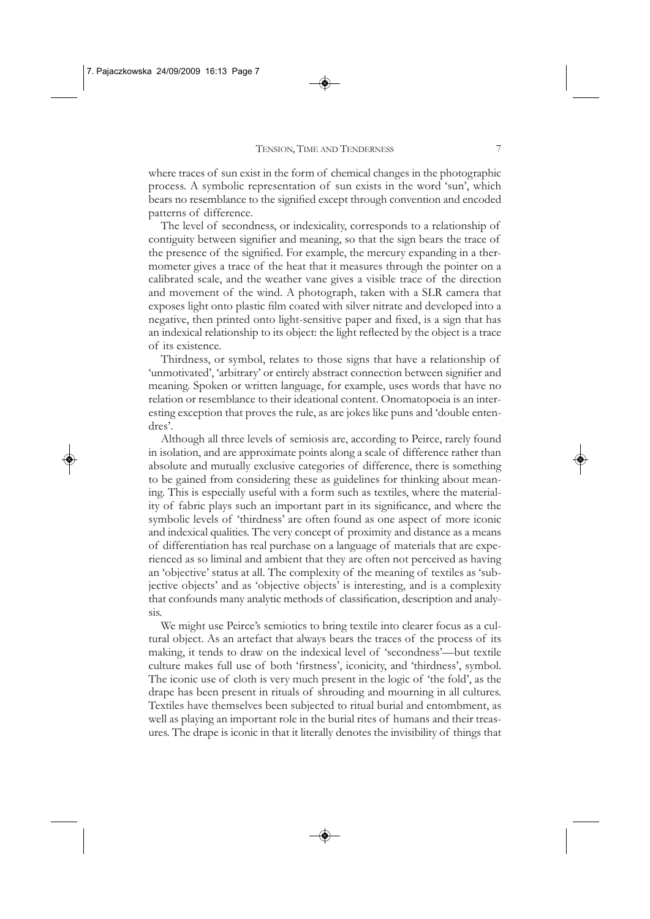where traces of sun exist in the form of chemical changes in the photographic process. A symbolic representation of sun exists in the word 'sun', which bears no resemblance to the signified except through convention and encoded patterns of difference.

The level of secondness, or indexicality, corresponds to a relationship of contiguity between signifier and meaning, so that the sign bears the trace of the presence of the signified. For example, the mercury expanding in a thermometer gives a trace of the heat that it measures through the pointer on a calibrated scale, and the weather vane gives a visible trace of the direction and movement of the wind. A photograph, taken with a SLR camera that exposes light onto plastic film coated with silver nitrate and developed into a negative, then printed onto light-sensitive paper and fixed, is a sign that has an indexical relationship to its object: the light reflected by the object is a trace of its existence.

Thirdness, or symbol, relates to those signs that have a relationship of 'unmotivated', 'arbitrary' or entirely abstract connection between signifier and meaning. Spoken or written language, for example, uses words that have no relation or resemblance to their ideational content. Onomatopoeia is an interesting exception that proves the rule, as are jokes like puns and 'double entendres'.

Although all three levels of semiosis are, according to Peirce, rarely found in isolation, and are approximate points along a scale of difference rather than absolute and mutually exclusive categories of difference, there is something to be gained from considering these as guidelines for thinking about meaning. This is especially useful with a form such as textiles, where the materiality of fabric plays such an important part in its significance, and where the symbolic levels of 'thirdness' are often found as one aspect of more iconic and indexical qualities. The very concept of proximity and distance as a means of differentiation has real purchase on a language of materials that are experienced as so liminal and ambient that they are often not perceived as having an 'objective' status at all. The complexity of the meaning of textiles as 'subjective objects' and as 'objective objects' is interesting, and is a complexity that confounds many analytic methods of classification, description and analysis.

We might use Peirce's semiotics to bring textile into clearer focus as a cultural object. As an artefact that always bears the traces of the process of its making, it tends to draw on the indexical level of 'secondness'—but textile culture makes full use of both 'firstness', iconicity, and 'thirdness', symbol. The iconic use of cloth is very much present in the logic of 'the fold', as the drape has been present in rituals of shrouding and mourning in all cultures. Textiles have themselves been subjected to ritual burial and entombment, as well as playing an important role in the burial rites of humans and their treasures. The drape is iconic in that it literally denotes the invisibility of things that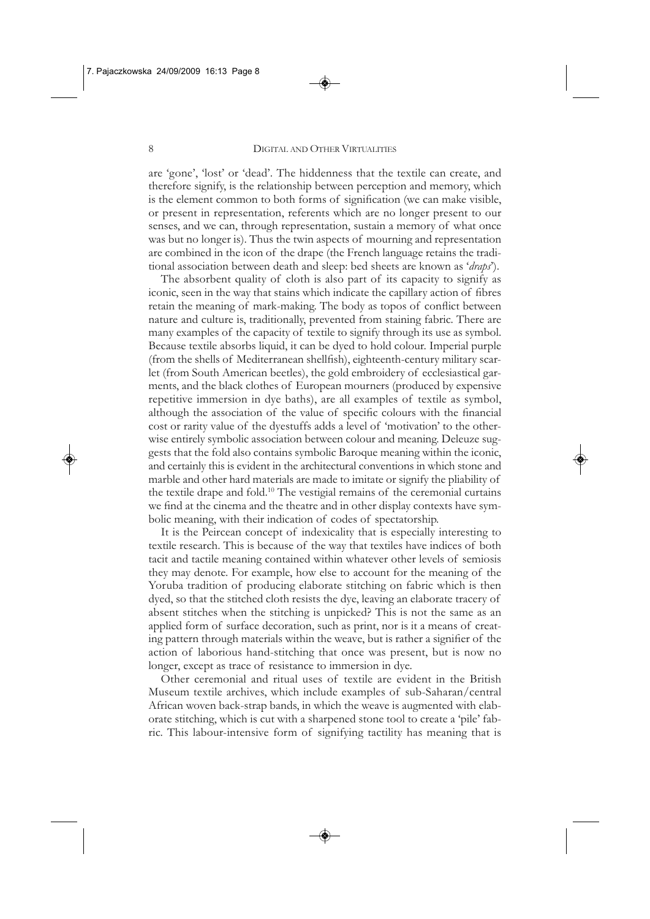are 'gone', 'lost' or 'dead'. The hiddenness that the textile can create, and therefore signify, is the relationship between perception and memory, which is the element common to both forms of signification (we can make visible, or present in representation, referents which are no longer present to our senses, and we can, through representation, sustain a memory of what once was but no longer is). Thus the twin aspects of mourning and representation are combined in the icon of the drape (the French language retains the traditional association between death and sleep: bed sheets are known as '*draps*').

The absorbent quality of cloth is also part of its capacity to signify as iconic, seen in the way that stains which indicate the capillary action of fibres retain the meaning of mark-making. The body as topos of conflict between nature and culture is, traditionally, prevented from staining fabric. There are many examples of the capacity of textile to signify through its use as symbol. Because textile absorbs liquid, it can be dyed to hold colour. Imperial purple (from the shells of Mediterranean shellfish), eighteenth-century military scarlet (from South American beetles), the gold embroidery of ecclesiastical garments, and the black clothes of European mourners (produced by expensive repetitive immersion in dye baths), are all examples of textile as symbol, although the association of the value of specific colours with the financial cost or rarity value of the dyestuffs adds a level of 'motivation' to the otherwise entirely symbolic association between colour and meaning. Deleuze suggests that the fold also contains symbolic Baroque meaning within the iconic, and certainly this is evident in the architectural conventions in which stone and marble and other hard materials are made to imitate or signify the pliability of the textile drape and fold.10 The vestigial remains of the ceremonial curtains we find at the cinema and the theatre and in other display contexts have symbolic meaning, with their indication of codes of spectatorship.

It is the Peircean concept of indexicality that is especially interesting to textile research. This is because of the way that textiles have indices of both tacit and tactile meaning contained within whatever other levels of semiosis they may denote. For example, how else to account for the meaning of the Yoruba tradition of producing elaborate stitching on fabric which is then dyed, so that the stitched cloth resists the dye, leaving an elaborate tracery of absent stitches when the stitching is unpicked? This is not the same as an applied form of surface decoration, such as print, nor is it a means of creating pattern through materials within the weave, but is rather a signifier of the action of laborious hand-stitching that once was present, but is now no longer, except as trace of resistance to immersion in dye.

Other ceremonial and ritual uses of textile are evident in the British Museum textile archives, which include examples of sub-Saharan/central African woven back-strap bands, in which the weave is augmented with elaborate stitching, which is cut with a sharpened stone tool to create a 'pile' fabric. This labour-intensive form of signifying tactility has meaning that is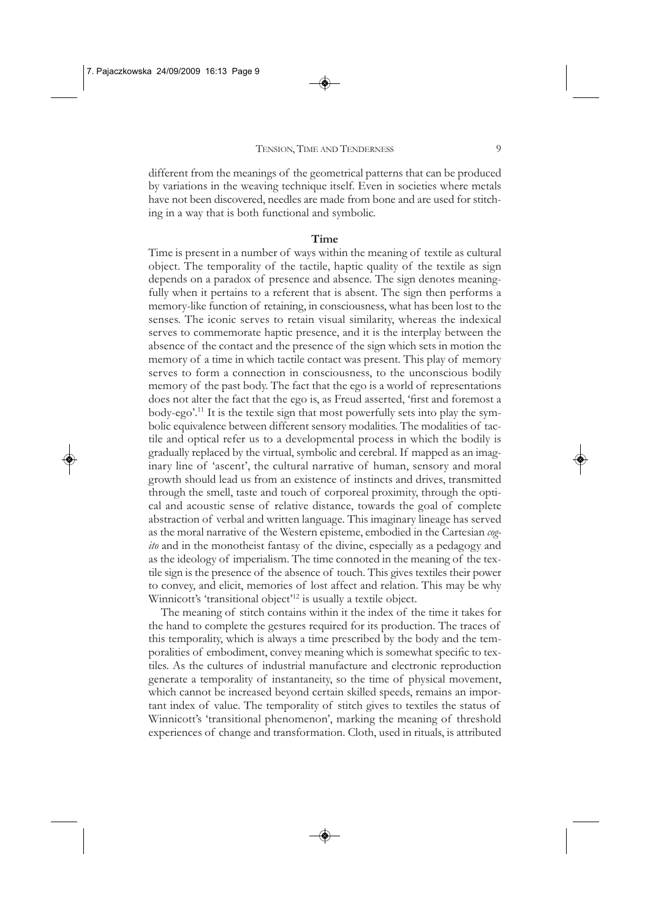different from the meanings of the geometrical patterns that can be produced by variations in the weaving technique itself. Even in societies where metals have not been discovered, needles are made from bone and are used for stitching in a way that is both functional and symbolic.

#### **Time**

Time is present in a number of ways within the meaning of textile as cultural object. The temporality of the tactile, haptic quality of the textile as sign depends on a paradox of presence and absence. The sign denotes meaningfully when it pertains to a referent that is absent. The sign then performs a memory-like function of retaining, in consciousness, what has been lost to the senses. The iconic serves to retain visual similarity, whereas the indexical serves to commemorate haptic presence, and it is the interplay between the absence of the contact and the presence of the sign which sets in motion the memory of a time in which tactile contact was present. This play of memory serves to form a connection in consciousness, to the unconscious bodily memory of the past body. The fact that the ego is a world of representations does not alter the fact that the ego is, as Freud asserted, 'first and foremost a body-ego'.11 It is the textile sign that most powerfully sets into play the symbolic equivalence between different sensory modalities. The modalities of tactile and optical refer us to a developmental process in which the bodily is gradually replaced by the virtual, symbolic and cerebral. If mapped as an imaginary line of 'ascent', the cultural narrative of human, sensory and moral growth should lead us from an existence of instincts and drives, transmitted through the smell, taste and touch of corporeal proximity, through the optical and acoustic sense of relative distance, towards the goal of complete abstraction of verbal and written language. This imaginary lineage has served as the moral narrative of the Western episteme, embodied in the Cartesian *cogito* and in the monotheist fantasy of the divine, especially as a pedagogy and as the ideology of imperialism. The time connoted in the meaning of the textile sign is the presence of the absence of touch. This gives textiles their power to convey, and elicit, memories of lost affect and relation. This may be why Winnicott's 'transitional object'<sup>12</sup> is usually a textile object.

The meaning of stitch contains within it the index of the time it takes for the hand to complete the gestures required for its production. The traces of this temporality, which is always a time prescribed by the body and the temporalities of embodiment, convey meaning which is somewhat specific to textiles. As the cultures of industrial manufacture and electronic reproduction generate a temporality of instantaneity, so the time of physical movement, which cannot be increased beyond certain skilled speeds, remains an important index of value. The temporality of stitch gives to textiles the status of Winnicott's 'transitional phenomenon', marking the meaning of threshold experiences of change and transformation. Cloth, used in rituals, is attributed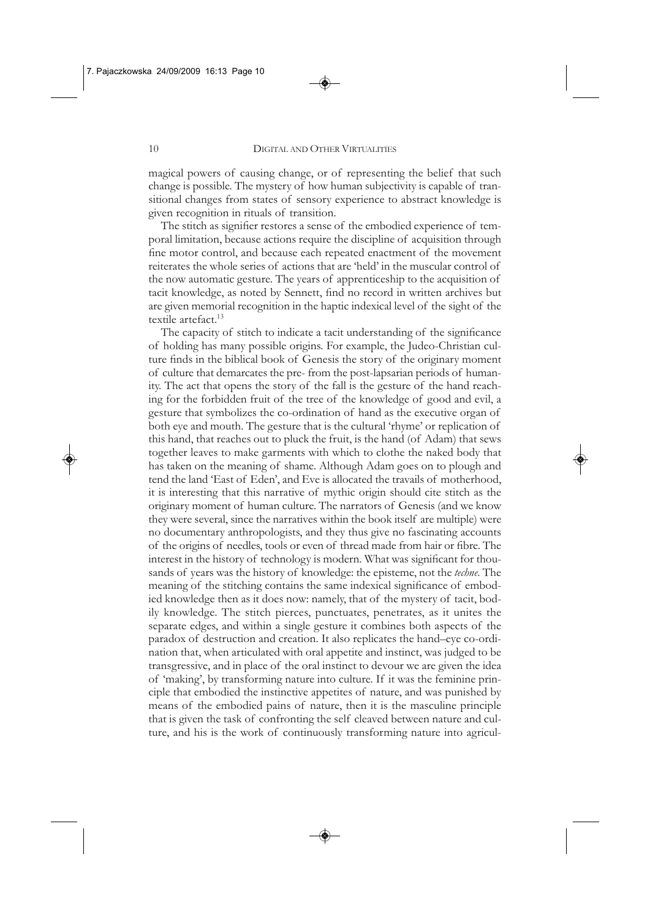magical powers of causing change, or of representing the belief that such change is possible. The mystery of how human subjectivity is capable of transitional changes from states of sensory experience to abstract knowledge is given recognition in rituals of transition.

The stitch as signifier restores a sense of the embodied experience of temporal limitation, because actions require the discipline of acquisition through fine motor control, and because each repeated enactment of the movement reiterates the whole series of actions that are 'held' in the muscular control of the now automatic gesture. The years of apprenticeship to the acquisition of tacit knowledge, as noted by Sennett, find no record in written archives but are given memorial recognition in the haptic indexical level of the sight of the textile artefact.<sup>13</sup>

The capacity of stitch to indicate a tacit understanding of the significance of holding has many possible origins. For example, the Judeo-Christian culture finds in the biblical book of Genesis the story of the originary moment of culture that demarcates the pre- from the post-lapsarian periods of humanity. The act that opens the story of the fall is the gesture of the hand reaching for the forbidden fruit of the tree of the knowledge of good and evil, a gesture that symbolizes the co-ordination of hand as the executive organ of both eye and mouth. The gesture that is the cultural 'rhyme' or replication of this hand, that reaches out to pluck the fruit, is the hand (of Adam) that sews together leaves to make garments with which to clothe the naked body that has taken on the meaning of shame. Although Adam goes on to plough and tend the land 'East of Eden', and Eve is allocated the travails of motherhood, it is interesting that this narrative of mythic origin should cite stitch as the originary moment of human culture. The narrators of Genesis (and we know they were several, since the narratives within the book itself are multiple) were no documentary anthropologists, and they thus give no fascinating accounts of the origins of needles, tools or even of thread made from hair or fibre. The interest in the history of technology is modern. What was significant for thousands of years was the history of knowledge: the episteme, not the *techne*. The meaning of the stitching contains the same indexical significance of embodied knowledge then as it does now: namely, that of the mystery of tacit, bodily knowledge. The stitch pierces, punctuates, penetrates, as it unites the separate edges, and within a single gesture it combines both aspects of the paradox of destruction and creation. It also replicates the hand–eye co-ordination that, when articulated with oral appetite and instinct, was judged to be transgressive, and in place of the oral instinct to devour we are given the idea of 'making', by transforming nature into culture. If it was the feminine principle that embodied the instinctive appetites of nature, and was punished by means of the embodied pains of nature, then it is the masculine principle that is given the task of confronting the self cleaved between nature and culture, and his is the work of continuously transforming nature into agricul-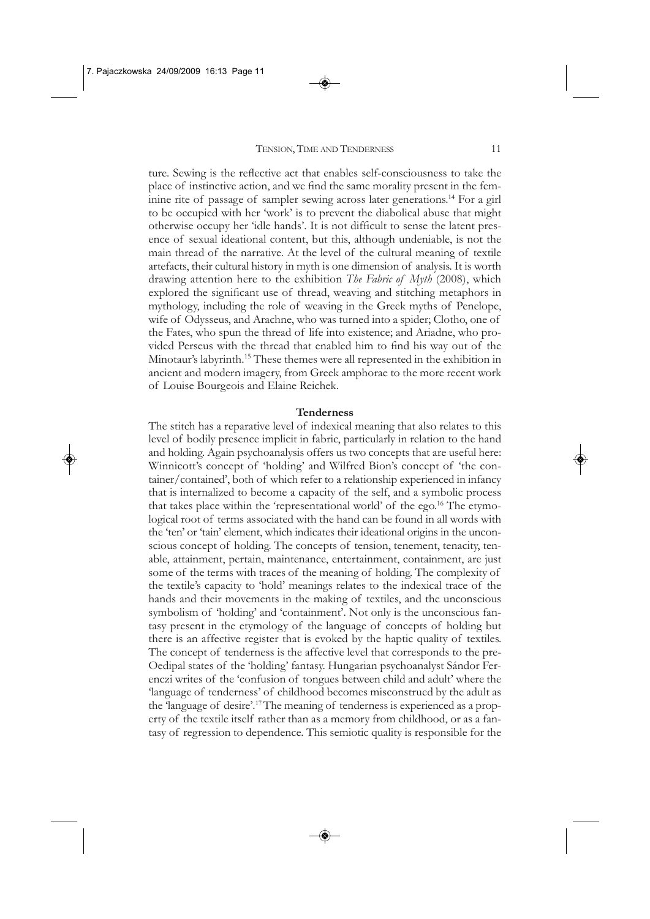ture. Sewing is the reflective act that enables self-consciousness to take the place of instinctive action, and we find the same morality present in the feminine rite of passage of sampler sewing across later generations.<sup>14</sup> For a girl to be occupied with her 'work' is to prevent the diabolical abuse that might otherwise occupy her 'idle hands'. It is not difficult to sense the latent presence of sexual ideational content, but this, although undeniable, is not the main thread of the narrative. At the level of the cultural meaning of textile artefacts, their cultural history in myth is one dimension of analysis. It is worth drawing attention here to the exhibition *The Fabric of Myth* (2008), which explored the significant use of thread, weaving and stitching metaphors in mythology, including the role of weaving in the Greek myths of Penelope, wife of Odysseus, and Arachne, who was turned into a spider; Clotho, one of the Fates, who spun the thread of life into existence; and Ariadne, who provided Perseus with the thread that enabled him to find his way out of the Minotaur's labyrinth.15 These themes were all represented in the exhibition in ancient and modern imagery, from Greek amphorae to the more recent work of Louise Bourgeois and Elaine Reichek.

# **Tenderness**

The stitch has a reparative level of indexical meaning that also relates to this level of bodily presence implicit in fabric, particularly in relation to the hand and holding. Again psychoanalysis offers us two concepts that are useful here: Winnicott's concept of 'holding' and Wilfred Bion's concept of 'the container/contained', both of which refer to a relationship experienced in infancy that is internalized to become a capacity of the self, and a symbolic process that takes place within the 'representational world' of the ego.<sup>16</sup> The etymological root of terms associated with the hand can be found in all words with the 'ten' or 'tain' element, which indicates their ideational origins in the unconscious concept of holding. The concepts of tension, tenement, tenacity, tenable, attainment, pertain, maintenance, entertainment, containment, are just some of the terms with traces of the meaning of holding. The complexity of the textile's capacity to 'hold' meanings relates to the indexical trace of the hands and their movements in the making of textiles, and the unconscious symbolism of 'holding' and 'containment'. Not only is the unconscious fantasy present in the etymology of the language of concepts of holding but there is an affective register that is evoked by the haptic quality of textiles. The concept of tenderness is the affective level that corresponds to the pre-Oedipal states of the 'holding' fantasy. Hungarian psychoanalyst Sándor Ferenczi writes of the 'confusion of tongues between child and adult' where the 'language of tenderness' of childhood becomes misconstrued by the adult as the 'language of desire'.17The meaning of tenderness is experienced as a property of the textile itself rather than as a memory from childhood, or as a fantasy of regression to dependence. This semiotic quality is responsible for the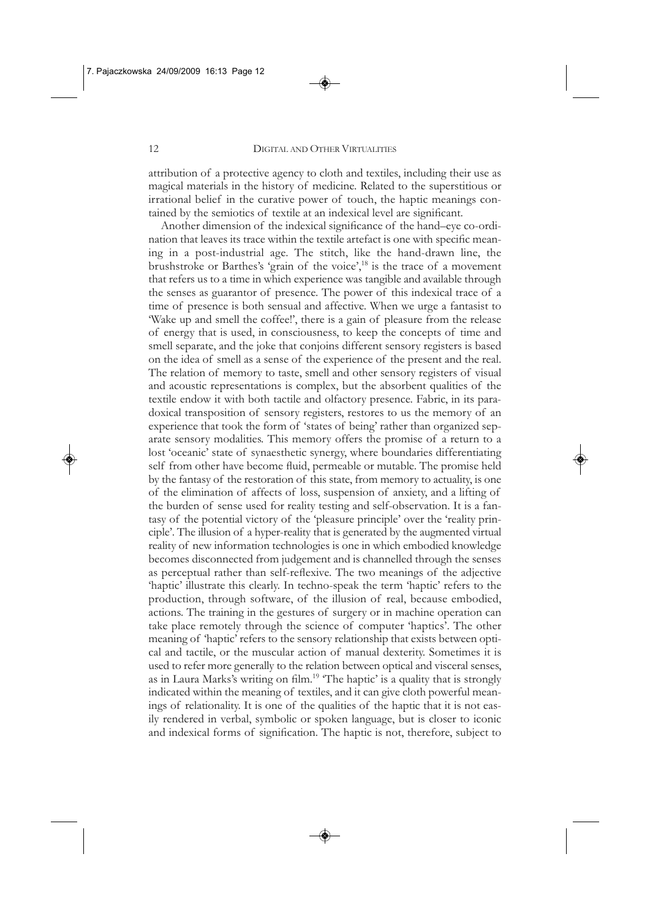attribution of a protective agency to cloth and textiles, including their use as magical materials in the history of medicine. Related to the superstitious or irrational belief in the curative power of touch, the haptic meanings contained by the semiotics of textile at an indexical level are significant.

Another dimension of the indexical significance of the hand–eye co-ordination that leaves its trace within the textile artefact is one with specific meaning in a post-industrial age. The stitch, like the hand-drawn line, the brushstroke or Barthes's 'grain of the voice',<sup>18</sup> is the trace of a movement that refers us to a time in which experience was tangible and available through the senses as guarantor of presence. The power of this indexical trace of a time of presence is both sensual and affective. When we urge a fantasist to 'Wake up and smell the coffee!', there is a gain of pleasure from the release of energy that is used, in consciousness, to keep the concepts of time and smell separate, and the joke that conjoins different sensory registers is based on the idea of smell as a sense of the experience of the present and the real. The relation of memory to taste, smell and other sensory registers of visual and acoustic representations is complex, but the absorbent qualities of the textile endow it with both tactile and olfactory presence. Fabric, in its paradoxical transposition of sensory registers, restores to us the memory of an experience that took the form of 'states of being' rather than organized separate sensory modalities. This memory offers the promise of a return to a lost 'oceanic' state of synaesthetic synergy, where boundaries differentiating self from other have become fluid, permeable or mutable. The promise held by the fantasy of the restoration of this state, from memory to actuality, is one of the elimination of affects of loss, suspension of anxiety, and a lifting of the burden of sense used for reality testing and self-observation. It is a fantasy of the potential victory of the 'pleasure principle' over the 'reality principle'. The illusion of a hyper-reality that is generated by the augmented virtual reality of new information technologies is one in which embodied knowledge becomes disconnected from judgement and is channelled through the senses as perceptual rather than self-reflexive. The two meanings of the adjective 'haptic' illustrate this clearly. In techno-speak the term 'haptic' refers to the production, through software, of the illusion of real, because embodied, actions. The training in the gestures of surgery or in machine operation can take place remotely through the science of computer 'haptics'. The other meaning of 'haptic' refers to the sensory relationship that exists between optical and tactile, or the muscular action of manual dexterity. Sometimes it is used to refer more generally to the relation between optical and visceral senses, as in Laura Marks's writing on film.19 'The haptic' is a quality that is strongly indicated within the meaning of textiles, and it can give cloth powerful meanings of relationality. It is one of the qualities of the haptic that it is not easily rendered in verbal, symbolic or spoken language, but is closer to iconic and indexical forms of signification. The haptic is not, therefore, subject to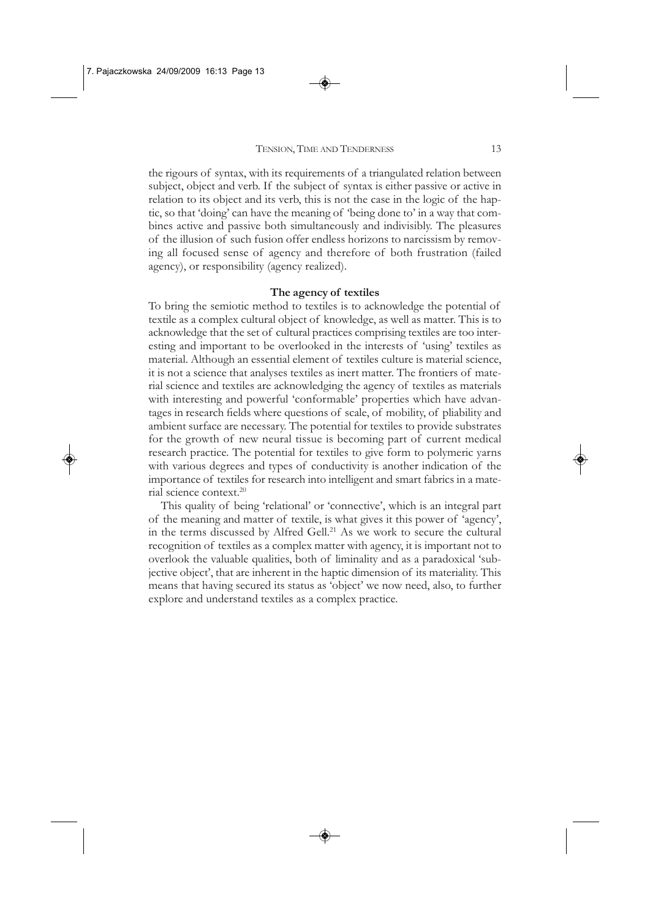the rigours of syntax, with its requirements of a triangulated relation between subject, object and verb. If the subject of syntax is either passive or active in relation to its object and its verb, this is not the case in the logic of the haptic, so that 'doing' can have the meaning of 'being done to' in a way that combines active and passive both simultaneously and indivisibly. The pleasures of the illusion of such fusion offer endless horizons to narcissism by removing all focused sense of agency and therefore of both frustration (failed agency), or responsibility (agency realized).

#### **The agency of textiles**

To bring the semiotic method to textiles is to acknowledge the potential of textile as a complex cultural object of knowledge, as well as matter. This is to acknowledge that the set of cultural practices comprising textiles are too interesting and important to be overlooked in the interests of 'using' textiles as material. Although an essential element of textiles culture is material science, it is not a science that analyses textiles as inert matter. The frontiers of material science and textiles are acknowledging the agency of textiles as materials with interesting and powerful 'conformable' properties which have advantages in research fields where questions of scale, of mobility, of pliability and ambient surface are necessary. The potential for textiles to provide substrates for the growth of new neural tissue is becoming part of current medical research practice. The potential for textiles to give form to polymeric yarns with various degrees and types of conductivity is another indication of the importance of textiles for research into intelligent and smart fabrics in a material science context.20

This quality of being 'relational' or 'connective', which is an integral part of the meaning and matter of textile, is what gives it this power of 'agency', in the terms discussed by Alfred Gell.<sup>21</sup> As we work to secure the cultural recognition of textiles as a complex matter with agency, it is important not to overlook the valuable qualities, both of liminality and as a paradoxical 'subjective object', that are inherent in the haptic dimension of its materiality. This means that having secured its status as 'object' we now need, also, to further explore and understand textiles as a complex practice.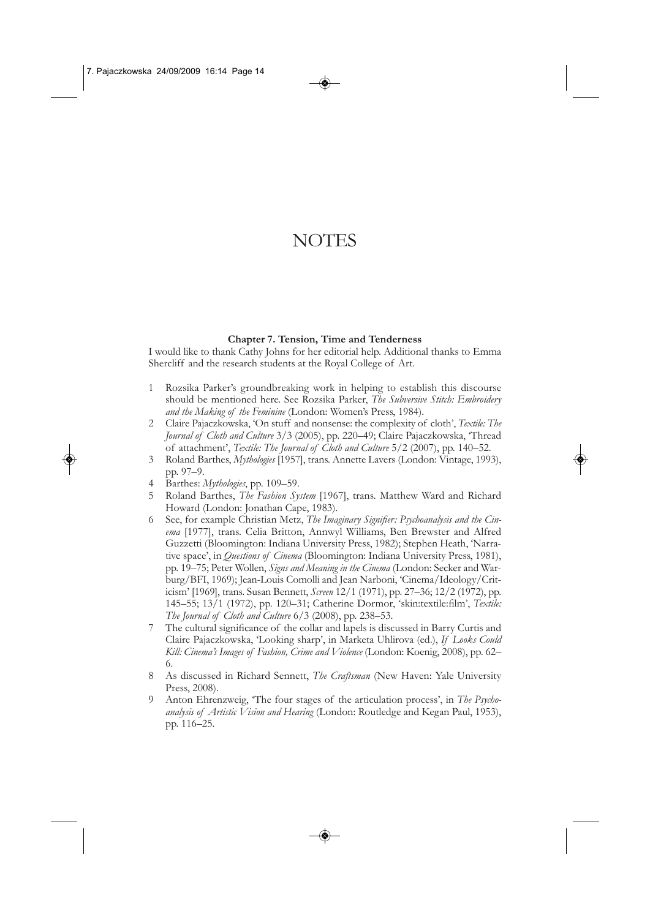# NOTES

◈

### **Chapter 7. Tension, Time and Tenderness**

I would like to thank Cathy Johns for her editorial help. Additional thanks to Emma Shercliff and the research students at the Royal College of Art.

- 1 Rozsika Parker's groundbreaking work in helping to establish this discourse should be mentioned here. See Rozsika Parker, *The Subversive Stitch: Embroidery and the Making of the Feminine* (London: Women's Press, 1984).
- 2 Claire Pajaczkowska, 'On stuff and nonsense: the complexity of cloth', *Textile: The Journal of Cloth and Culture* 3/3 (2005), pp. 220–49; Claire Pajaczkowska, 'Thread of attachment', *Textile: The Journal of Cloth and Culture* 5/2 (2007), pp. 140–52.
- 3 Roland Barthes, *Mythologies* [1957], trans. Annette Lavers (London: Vintage, 1993), pp. 97–9.
- 4 Barthes: *Mythologies*, pp. 109–59.
- 5 Roland Barthes, *The Fashion System* [1967], trans. Matthew Ward and Richard Howard (London: Jonathan Cape, 1983).
- 6 See, for example Christian Metz, *The Imaginary Signifier: Psychoanalysis and the Cinema* [1977], trans. Celia Britton, Annwyl Williams, Ben Brewster and Alfred Guzzetti (Bloomington: Indiana University Press, 1982); Stephen Heath, 'Narrative space', in *Questions of Cinema* (Bloomington: Indiana University Press, 1981), pp. 19–75; Peter Wollen, *Signs and Meaning in the Cinema* (London: Secker and Warburg/BFI, 1969); Jean-Louis Comolli and Jean Narboni, 'Cinema/Ideology/Criticism' [1969], trans. Susan Bennett, *Screen* 12/1 (1971), pp. 27–36; 12/2 (1972), pp. 145–55; 13/1 (1972), pp. 120–31; Catherine Dormor, 'skin:textile:film', *Textile: The Journal of Cloth and Culture* 6/3 (2008), pp. 238–53.
- 7 The cultural significance of the collar and lapels is discussed in Barry Curtis and Claire Pajaczkowska, 'Looking sharp', in Marketa Uhlirova (ed.), *If Looks Could Kill: Cinema's Images of Fashion, Crime and Violence* (London: Koenig, 2008), pp. 62– 6.
- 8 As discussed in Richard Sennett, *The Craftsman* (New Haven: Yale University Press, 2008).
- 9 Anton Ehrenzweig, 'The four stages of the articulation process', in *The Psychoanalysis of Artistic Vision and Hearing* (London: Routledge and Kegan Paul, 1953), pp. 116–25.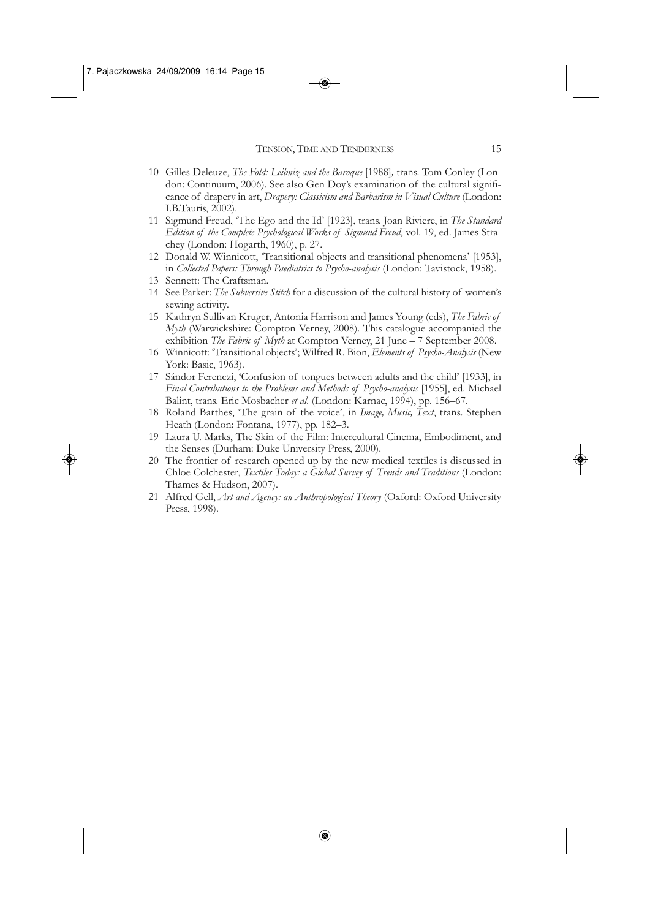- 10 Gilles Deleuze, *The Fold: Leibniz and the Baroque* [1988]*,* trans. Tom Conley (London: Continuum, 2006). See also Gen Doy's examination of the cultural significance of drapery in art, *Drapery: Classicism and Barbarism in Visual Culture* (London: I.B.Tauris, 2002).
- 11 Sigmund Freud, 'The Ego and the Id' [1923], trans. Joan Riviere, in *The Standard Edition of the Complete Psychological Works of Sigmund Freud*, vol. 19, ed. James Strachey (London: Hogarth, 1960), p. 27.
- 12 Donald W. Winnicott, 'Transitional objects and transitional phenomena' [1953], in *Collected Papers: Through Paediatrics to Psycho-analysis* (London: Tavistock, 1958).
- 13 Sennett: The Craftsman.
- 14 See Parker: *The Subversive Stitch* for a discussion of the cultural history of women's sewing activity*.*
- 15 Kathryn Sullivan Kruger, Antonia Harrison and James Young (eds), *The Fabric of Myth* (Warwickshire: Compton Verney, 2008). This catalogue accompanied the exhibition *The Fabric of Myth* at Compton Verney, 21 June – 7 September 2008.
- 16 Winnicott: 'Transitional objects'; Wilfred R. Bion, *Elements of Psycho-Analysis* (New York: Basic, 1963).
- 17 Sándor Ferenczi, 'Confusion of tongues between adults and the child' [1933], in *Final Contributions to the Problems and Methods of Psycho-analysis* [1955], ed. Michael Balint, trans. Eric Mosbacher *et al.* (London: Karnac, 1994), pp. 156–67.
- 18 Roland Barthes, 'The grain of the voice', in *Image, Music, Text*, trans. Stephen Heath (London: Fontana, 1977), pp. 182–3.
- 19 Laura U. Marks, The Skin of the Film: Intercultural Cinema, Embodiment, and the Senses (Durham: Duke University Press, 2000).
- 20 The frontier of research opened up by the new medical textiles is discussed in Chloe Colchester, *Textiles Today: a Global Survey of Trends and Traditions* (London: Thames & Hudson, 2007).
- 21 Alfred Gell, *Art and Agency: an Anthropological Theory* (Oxford: Oxford University Press, 1998).